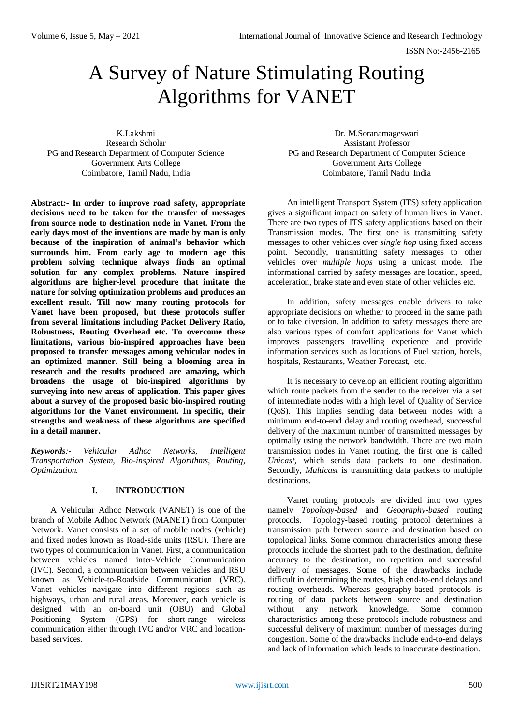# A Survey of Nature Stimulating Routing Algorithms for VANET

K.Lakshmi Research Scholar PG and Research Department of Computer Science Government Arts College Coimbatore, Tamil Nadu, India

**Abstract***:-* **In order to improve road safety, appropriate decisions need to be taken for the transfer of messages from source node to destination node in Vanet. From the early days most of the inventions are made by man is only because of the inspiration of animal's behavior which surrounds him. From early age to modern age this problem solving technique always finds an optimal solution for any complex problems. Nature inspired algorithms are higher-level procedure that imitate the nature for solving optimization problems and produces an excellent result. Till now many routing protocols for Vanet have been proposed, but these protocols suffer from several limitations including Packet Delivery Ratio, Robustness, Routing Overhead etc. To overcome these limitations, various bio-inspired approaches have been proposed to transfer messages among vehicular nodes in an optimized manner. Still being a blooming area in research and the results produced are amazing, which broadens the usage of bio-inspired algorithms by surveying into new areas of application. This paper gives about a survey of the proposed basic bio-inspired routing algorithms for the Vanet environment. In specific, their strengths and weakness of these algorithms are specified in a detail manner.**

*Keywords:- Vehicular Adhoc Networks, Intelligent Transportation System, Bio-inspired Algorithms, Routing, Optimization.*

# **I. INTRODUCTION**

A Vehicular Adhoc Network (VANET) is one of the branch of Mobile Adhoc Network (MANET) from Computer Network. Vanet consists of a set of mobile nodes (vehicle) and fixed nodes known as Road-side units (RSU). There are two types of communication in Vanet. First, a communication between vehicles named inter-Vehicle Communication (IVC). Second, a communication between vehicles and RSU known as Vehicle-to-Roadside Communication (VRC). Vanet vehicles navigate into different regions such as highways, urban and rural areas. Moreover, each vehicle is designed with an on-board unit (OBU) and Global Positioning System (GPS) for short-range wireless communication either through IVC and/or VRC and locationbased services.

Dr. M.Soranamageswari Assistant Professor PG and Research Department of Computer Science Government Arts College Coimbatore, Tamil Nadu, India

An intelligent Transport System (ITS) safety application gives a significant impact on safety of human lives in Vanet. There are two types of ITS safety applications based on their Transmission modes. The first one is transmitting safety messages to other vehicles over *single hop* using fixed access point. Secondly, transmitting safety messages to other vehicles over *multiple hops* using a unicast mode. The informational carried by safety messages are location, speed, acceleration, brake state and even state of other vehicles etc.

In addition, safety messages enable drivers to take appropriate decisions on whether to proceed in the same path or to take diversion. In addition to safety messages there are also various types of comfort applications for Vanet which improves passengers travelling experience and provide information services such as locations of Fuel station, hotels, hospitals, Restaurants, Weather Forecast, etc.

It is necessary to develop an efficient routing algorithm which route packets from the sender to the receiver via a set of intermediate nodes with a high level of Quality of Service (QoS). This implies sending data between nodes with a minimum end-to-end delay and routing overhead, successful delivery of the maximum number of transmitted messages by optimally using the network bandwidth. There are two main transmission nodes in Vanet routing, the first one is called *Unicast,* which sends data packets to one destination. Secondly, *Multicast* is transmitting data packets to multiple destinations.

Vanet routing protocols are divided into two types namely *Topology-based* and *Geography-based* routing protocols. Topology-based routing protocol determines a transmission path between source and destination based on topological links. Some common characteristics among these protocols include the shortest path to the destination, definite accuracy to the destination, no repetition and successful delivery of messages. Some of the drawbacks include difficult in determining the routes, high end-to-end delays and routing overheads. Whereas geography-based protocols is routing of data packets between source and destination without any network knowledge. Some common characteristics among these protocols include robustness and successful delivery of maximum number of messages during congestion. Some of the drawbacks include end-to-end delays and lack of information which leads to inaccurate destination.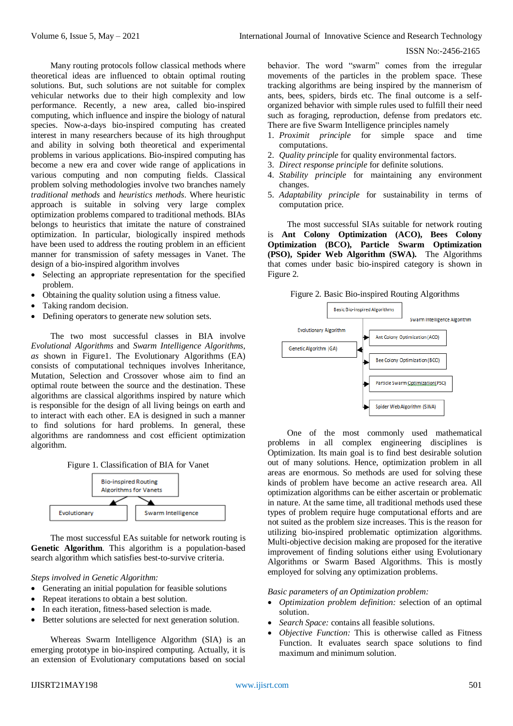Many routing protocols follow classical methods where theoretical ideas are influenced to obtain optimal routing solutions. But, such solutions are not suitable for complex vehicular networks due to their high complexity and low performance. Recently, a new area, called bio-inspired computing, which influence and inspire the biology of natural species. Now-a-days bio-inspired computing has created interest in many researchers because of its high throughput and ability in solving both theoretical and experimental problems in various applications. Bio-inspired computing has become a new era and cover wide range of applications in various computing and non computing fields. Classical problem solving methodologies involve two branches namely *traditional methods* and *heuristics methods*. Where heuristic approach is suitable in solving very large complex optimization problems compared to traditional methods. BIAs belongs to heuristics that imitate the nature of constrained optimization. In particular, biologically inspired methods have been used to address the routing problem in an efficient manner for transmission of safety messages in Vanet. The design of a bio-inspired algorithm involves

- Selecting an appropriate representation for the specified problem.
- Obtaining the quality solution using a fitness value.
- Taking random decision.
- Defining operators to generate new solution sets.

The two most successful classes in BIA involve *Evolutional Algorithms* and *Swarm Intelligence Algorithms, as* shown in Figure1. The Evolutionary Algorithms (EA) consists of computational techniques involves Inheritance, Mutation, Selection and Crossover whose aim to find an optimal route between the source and the destination. These algorithms are classical algorithms inspired by nature which is responsible for the design of all living beings on earth and to interact with each other. EA is designed in such a manner to find solutions for hard problems. In general, these algorithms are randomness and cost efficient optimization algorithm.





The most successful EAs suitable for network routing is **Genetic Algorithm**. This algorithm is a population-based search algorithm which satisfies best-to-survive criteria.

*Steps involved in Genetic Algorithm:*

- Generating an initial population for feasible solutions
- Repeat iterations to obtain a best solution.
- In each iteration, fitness-based selection is made.
- Better solutions are selected for next generation solution.

Whereas Swarm Intelligence Algorithm (SIA) is an emerging prototype in bio-inspired computing. Actually, it is an extension of Evolutionary computations based on social behavior. The word "swarm" comes from the irregular movements of the particles in the problem space. These tracking algorithms are being inspired by the mannerism of ants, bees, spiders, birds etc. The final outcome is a selforganized behavior with simple rules used to fulfill their need such as foraging, reproduction, defense from predators etc. There are five Swarm Intelligence principles namely

- 1. *Proximit principle* for simple space and time computations.
- 2. *Quality principle* for quality environmental factors.
- 3. *Direct response principle* for definite solutions.
- 4. *Stability principle* for maintaining any environment changes.
- 5. *Adaptability principle* for sustainability in terms of computation price.

The most successful SIAs suitable for network routing is **Ant Colony Optimization (ACO), Bees Colony Optimization (BCO), Particle Swarm Optimization (PSO), Spider Web Algorithm (SWA).** The Algorithms that comes under basic bio-inspired category is shown in Figure 2.

Figure 2. Basic Bio-inspired Routing Algorithms



One of the most commonly used mathematical problems in all complex engineering disciplines is Optimization. Its main goal is to find best desirable solution out of many solutions. Hence, optimization problem in all areas are enormous. So methods are used for solving these kinds of problem have become an active research area. All optimization algorithms can be either ascertain or problematic in nature. At the same time, all traditional methods used these types of problem require huge computational efforts and are not suited as the problem size increases. This is the reason for utilizing bio-inspired problematic optimization algorithms. Multi-objective decision making are proposed for the iterative improvement of finding solutions either using Evolutionary Algorithms or Swarm Based Algorithms. This is mostly employed for solving any optimization problems.

## *Basic parameters of an Optimization problem:*

- *Optimization problem definition:* selection of an optimal solution.
- *Search Space:* contains all feasible solutions.
- *Objective Function:* This is otherwise called as Fitness Function. It evaluates search space solutions to find maximum and minimum solution.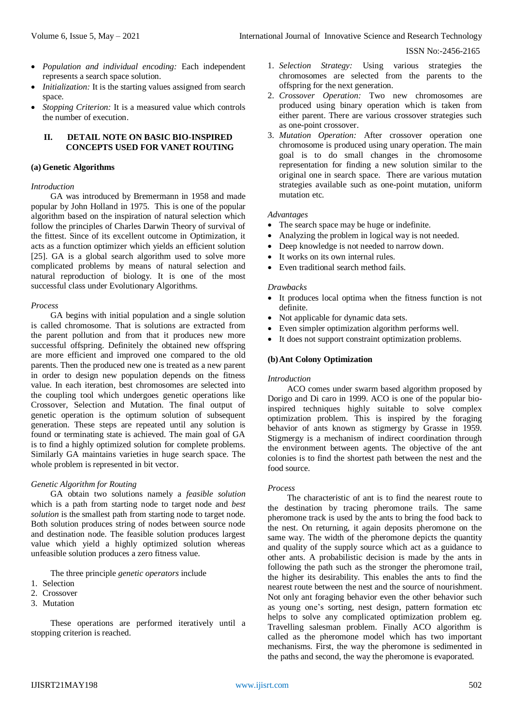- *Population and individual encoding:* Each independent represents a search space solution.
- *Initialization:* It is the starting values assigned from search space.
- *Stopping Criterion:* It is a measured value which controls the number of execution.

#### **II. DETAIL NOTE ON BASIC BIO-INSPIRED CONCEPTS USED FOR VANET ROUTING**

#### **(a) Genetic Algorithms**

#### *Introduction*

GA was introduced by Bremermann in 1958 and made popular by John Holland in 1975. This is one of the popular algorithm based on the inspiration of natural selection which follow the principles of Charles Darwin Theory of survival of the fittest. Since of its excellent outcome in Optimization, it acts as a function optimizer which yields an efficient solution [25]. GA is a global search algorithm used to solve more complicated problems by means of natural selection and natural reproduction of biology. It is one of the most successful class under Evolutionary Algorithms.

#### *Process*

GA begins with initial population and a single solution is called chromosome. That is solutions are extracted from the parent pollution and from that it produces new more successful offspring. Definitely the obtained new offspring are more efficient and improved one compared to the old parents. Then the produced new one is treated as a new parent in order to design new population depends on the fitness value. In each iteration, best chromosomes are selected into the coupling tool which undergoes genetic operations like Crossover, Selection and Mutation. The final output of genetic operation is the optimum solution of subsequent generation. These steps are repeated until any solution is found or terminating state is achieved. The main goal of GA is to find a highly optimized solution for complete problems. Similarly GA maintains varieties in huge search space. The whole problem is represented in bit vector.

#### *Genetic Algorithm for Routing*

GA obtain two solutions namely a *feasible solution* which is a path from starting node to target node and *best solution* is the smallest path from starting node to target node. Both solution produces string of nodes between source node and destination node. The feasible solution produces largest value which yield a highly optimized solution whereas unfeasible solution produces a zero fitness value.

The three principle *genetic operators* include

- 1. Selection
- 2. Crossover
- 3. Mutation

These operations are performed iteratively until a stopping criterion is reached.

- 1. *Selection Strategy:* Using various strategies the chromosomes are selected from the parents to the offspring for the next generation.
- 2. *Crossover Operation:* Two new chromosomes are produced using binary operation which is taken from either parent. There are various crossover strategies such as one-point crossover.
- 3. *Mutation Operation:* After crossover operation one chromosome is produced using unary operation. The main goal is to do small changes in the chromosome representation for finding a new solution similar to the original one in search space. There are various mutation strategies available such as one-point mutation, uniform mutation etc.

#### *Advantages*

- The search space may be huge or indefinite.
- Analyzing the problem in logical way is not needed.
- Deep knowledge is not needed to narrow down.
- It works on its own internal rules.
- Even traditional search method fails.

#### *Drawbacks*

- It produces local optima when the fitness function is not definite.
- Not applicable for dynamic data sets.
- Even simpler optimization algorithm performs well.
- It does not support constraint optimization problems.

#### **(b)Ant Colony Optimization**

#### *Introduction*

ACO comes under swarm based algorithm proposed by Dorigo and Di caro in 1999. ACO is one of the popular bioinspired techniques highly suitable to solve complex optimization problem. This is inspired by the foraging behavior of ants known as stigmergy by Grasse in 1959. Stigmergy is a mechanism of indirect coordination through the environment between agents. The objective of the ant colonies is to find the shortest path between the nest and the food source.

#### *Process*

The characteristic of ant is to find the nearest route to the destination by tracing pheromone trails. The same pheromone track is used by the ants to bring the food back to the nest. On returning, it again deposits pheromone on the same way. The width of the pheromone depicts the quantity and quality of the supply source which act as a guidance to other ants. A probabilistic decision is made by the ants in following the path such as the stronger the pheromone trail, the higher its desirability. This enables the ants to find the nearest route between the nest and the source of nourishment. Not only ant foraging behavior even the other behavior such as young one's sorting, nest design, pattern formation etc helps to solve any complicated optimization problem eg. Travelling salesman problem. Finally ACO algorithm is called as the pheromone model which has two important mechanisms. First, the way the pheromone is sedimented in the paths and second, the way the pheromone is evaporated.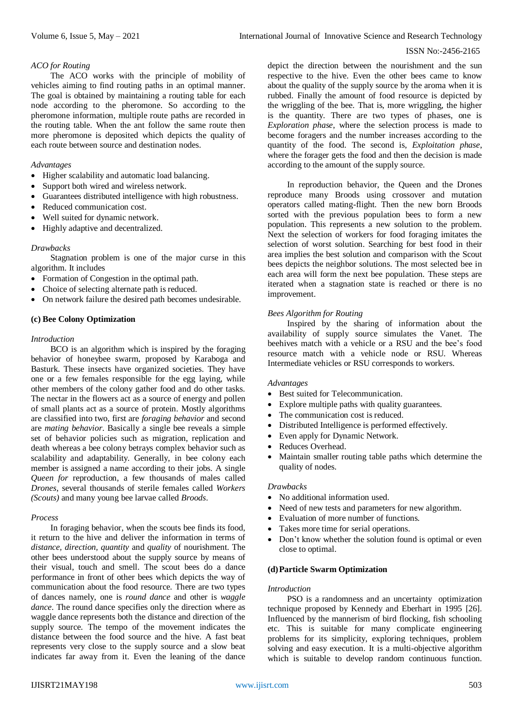# *ACO for Routing*

The ACO works with the principle of mobility of vehicles aiming to find routing paths in an optimal manner. The goal is obtained by maintaining a routing table for each node according to the pheromone. So according to the pheromone information, multiple route paths are recorded in the routing table. When the ant follow the same route then more pheromone is deposited which depicts the quality of each route between source and destination nodes.

# *Advantages*

- Higher scalability and automatic load balancing.
- Support both wired and wireless network.
- Guarantees distributed intelligence with high robustness.
- Reduced communication cost.
- Well suited for dynamic network.
- Highly adaptive and decentralized.

## *Drawbacks*

Stagnation problem is one of the major curse in this algorithm. It includes

- Formation of Congestion in the optimal path.
- Choice of selecting alternate path is reduced.
- On network failure the desired path becomes undesirable.

## **(c) Bee Colony Optimization**

#### *Introduction*

BCO is an algorithm which is inspired by the foraging behavior of honeybee swarm, proposed by Karaboga and Basturk. These insects have organized societies. They have one or a few females responsible for the egg laying, while other members of the colony gather food and do other tasks. The nectar in the flowers act as a source of energy and pollen of small plants act as a source of protein. Mostly algorithms are classified into two, first are *foraging behavior* and second are *mating behavior*. Basically a single bee reveals a simple set of behavior policies such as migration, replication and death whereas a bee colony betrays complex behavior such as scalability and adaptability. Generally, in bee colony each member is assigned a name according to their jobs. A single *Queen for* reproduction, a few thousands of males called *Drones*, several thousands of sterile females called *Workers (Scouts)* and many young bee larvae called *Broods*.

#### *Process*

In foraging behavior, when the scouts bee finds its food, it return to the hive and deliver the information in terms of *distance, direction, quantity* and *quality* of nourishment. The other bees understood about the supply source by means of their visual, touch and smell. The scout bees do a dance performance in front of other bees which depicts the way of communication about the food resource. There are two types of dances namely, one is *round dance* and other is *waggle dance*. The round dance specifies only the direction where as waggle dance represents both the distance and direction of the supply source. The tempo of the movement indicates the distance between the food source and the hive. A fast beat represents very close to the supply source and a slow beat indicates far away from it. Even the leaning of the dance

depict the direction between the nourishment and the sun respective to the hive. Even the other bees came to know about the quality of the supply source by the aroma when it is rubbed. Finally the amount of food resource is depicted by the wriggling of the bee. That is, more wriggling, the higher is the quantity. There are two types of phases, one is *Exploration phase*, where the selection process is made to become foragers and the number increases according to the quantity of the food. The second is, *Exploitation phase*, where the forager gets the food and then the decision is made according to the amount of the supply source.

In reproduction behavior, the Queen and the Drones reproduce many Broods using crossover and mutation operators called mating-flight. Then the new born Broods sorted with the previous population bees to form a new population. This represents a new solution to the problem. Next the selection of workers for food foraging imitates the selection of worst solution. Searching for best food in their area implies the best solution and comparison with the Scout bees depicts the neighbor solutions. The most selected bee in each area will form the next bee population. These steps are iterated when a stagnation state is reached or there is no improvement.

## *Bees Algorithm for Routing*

Inspired by the sharing of information about the availability of supply source simulates the Vanet. The beehives match with a vehicle or a RSU and the bee's food resource match with a vehicle node or RSU. Whereas Intermediate vehicles or RSU corresponds to workers.

#### *Advantages*

- Best suited for Telecommunication.
- Explore multiple paths with quality guarantees.
- The communication cost is reduced.
- Distributed Intelligence is performed effectively.
- Even apply for Dynamic Network.
- Reduces Overhead.
- Maintain smaller routing table paths which determine the quality of nodes.

## *Drawbacks*

- No additional information used.
- Need of new tests and parameters for new algorithm.
- Evaluation of more number of functions.
- Takes more time for serial operations.
- Don't know whether the solution found is optimal or even close to optimal.

#### **(d)Particle Swarm Optimization**

## *Introduction*

PSO is a randomness and an uncertainty optimization technique proposed by Kennedy and Eberhart in 1995 [26]. Influenced by the mannerism of bird flocking, fish schooling etc. This is suitable for many complicate engineering problems for its simplicity, exploring techniques, problem solving and easy execution. It is a multi-objective algorithm which is suitable to develop random continuous function.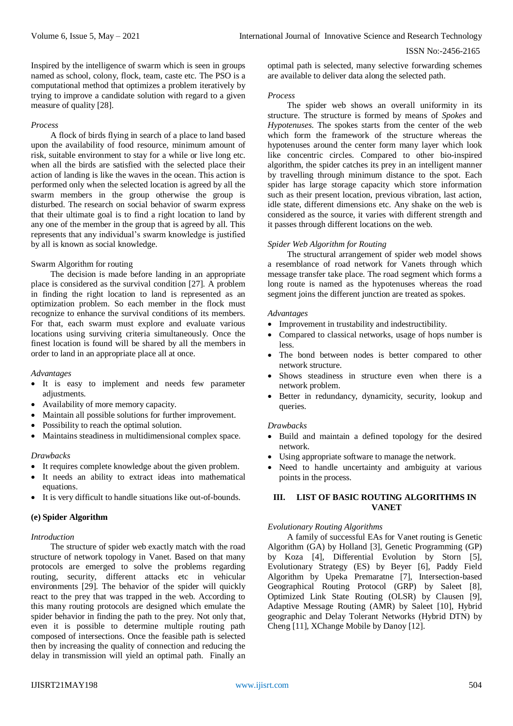Inspired by the intelligence of swarm which is seen in groups named as school, colony, flock, team, caste etc. The PSO is a computational method that optimizes a problem iteratively by trying to improve a candidate solution with regard to a given measure of quality [28].

#### *Process*

A flock of birds flying in search of a place to land based upon the availability of food resource, minimum amount of risk, suitable environment to stay for a while or live long etc. when all the birds are satisfied with the selected place their action of landing is like the waves in the ocean. This action is performed only when the selected location is agreed by all the swarm members in the group otherwise the group is disturbed. The research on social behavior of swarm express that their ultimate goal is to find a right location to land by any one of the member in the group that is agreed by all. This represents that any individual's swarm knowledge is justified by all is known as social knowledge.

## Swarm Algorithm for routing

The decision is made before landing in an appropriate place is considered as the survival condition [27]. A problem in finding the right location to land is represented as an optimization problem. So each member in the flock must recognize to enhance the survival conditions of its members. For that, each swarm must explore and evaluate various locations using surviving criteria simultaneously. Once the finest location is found will be shared by all the members in order to land in an appropriate place all at once.

#### *Advantages*

- It is easy to implement and needs few parameter adjustments.
- Availability of more memory capacity.
- Maintain all possible solutions for further improvement.
- Possibility to reach the optimal solution.
- Maintains steadiness in multidimensional complex space.

#### *Drawbacks*

- It requires complete knowledge about the given problem.
- It needs an ability to extract ideas into mathematical equations.
- It is very difficult to handle situations like out-of-bounds.

#### **(e) Spider Algorithm**

#### *Introduction*

The structure of spider web exactly match with the road structure of network topology in Vanet. Based on that many protocols are emerged to solve the problems regarding routing, security, different attacks etc in vehicular environments [29]. The behavior of the spider will quickly react to the prey that was trapped in the web. According to this many routing protocols are designed which emulate the spider behavior in finding the path to the prey. Not only that, even it is possible to determine multiple routing path composed of intersections. Once the feasible path is selected then by increasing the quality of connection and reducing the delay in transmission will yield an optimal path. Finally an

optimal path is selected, many selective forwarding schemes are available to deliver data along the selected path.

#### *Process*

The spider web shows an overall uniformity in its structure. The structure is formed by means of *Spokes* and *Hypotenuses*. The spokes starts from the center of the web which form the framework of the structure whereas the hypotenuses around the center form many layer which look like concentric circles. Compared to other bio-inspired algorithm, the spider catches its prey in an intelligent manner by travelling through minimum distance to the spot. Each spider has large storage capacity which store information such as their present location, previous vibration, last action, idle state, different dimensions etc. Any shake on the web is considered as the source, it varies with different strength and it passes through different locations on the web.

## *Spider Web Algorithm for Routing*

The structural arrangement of spider web model shows a resemblance of road network for Vanets through which message transfer take place. The road segment which forms a long route is named as the hypotenuses whereas the road segment joins the different junction are treated as spokes.

#### *Advantages*

- Improvement in trustability and indestructibility.
- Compared to classical networks, usage of hops number is less.
- The bond between nodes is better compared to other network structure.
- Shows steadiness in structure even when there is a network problem.
- Better in redundancy, dynamicity, security, lookup and queries.

#### *Drawbacks*

- Build and maintain a defined topology for the desired network.
- Using appropriate software to manage the network.
- Need to handle uncertainty and ambiguity at various points in the process.

# **III. LIST OF BASIC ROUTING ALGORITHMS IN VANET**

#### *Evolutionary Routing Algorithms*

A family of successful EAs for Vanet routing is Genetic Algorithm (GA) by Holland [3], Genetic Programming (GP) by Koza [4], Differential Evolution by Storn [5], Evolutionary Strategy (ES) by Beyer [6], Paddy Field Algorithm by Upeka Premaratne [7], Intersection-based Geographical Routing Protocol (GRP) by Saleet [8], Optimized Link State Routing (OLSR) by Clausen [9], Adaptive Message Routing (AMR) by Saleet [10], Hybrid geographic and Delay Tolerant Networks (Hybrid DTN) by Cheng [11], XChange Mobile by Danoy [12].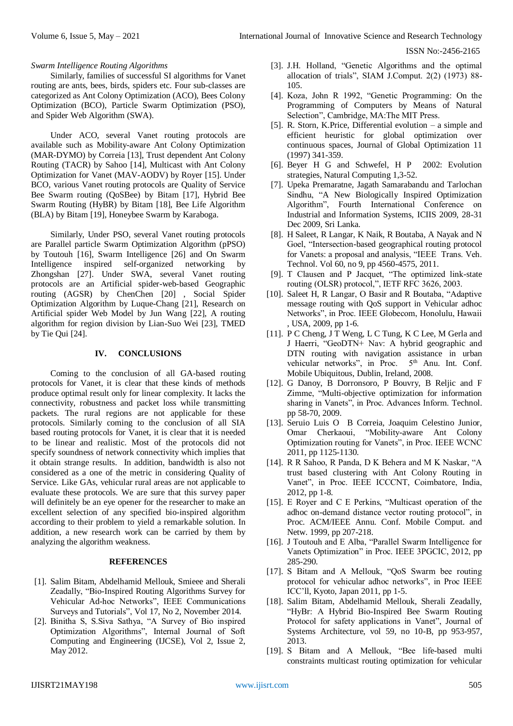# *Swarm Intelligence Routing Algorithms*

Similarly, families of successful SI algorithms for Vanet routing are ants, bees, birds, spiders etc. Four sub-classes are categorized as Ant Colony Optimization (ACO), Bees Colony Optimization (BCO), Particle Swarm Optimization (PSO), and Spider Web Algorithm (SWA).

Under ACO, several Vanet routing protocols are available such as Mobility-aware Ant Colony Optimization (MAR-DYMO) by Correia [13], Trust dependent Ant Colony Routing (TACR) by Sahoo [14], Multicast with Ant Colony Optimization for Vanet (MAV-AODV) by Royer [15]. Under BCO, various Vanet routing protocols are Quality of Service Bee Swarm routing (QoSBee) by Bitam [17], Hybrid Bee Swarm Routing (HyBR) by Bitam [18], Bee Life Algorithm (BLA) by Bitam [19], Honeybee Swarm by Karaboga.

Similarly, Under PSO, several Vanet routing protocols are Parallel particle Swarm Optimization Algorithm (pPSO) by Toutouh [16], Swarm Intelligence [26] and On Swarm Intelligence inspired self-organized networking by Zhongshan [27]. Under SWA, several Vanet routing protocols are an Artificial spider-web-based Geographic routing (AGSR) by ChenChen [20] , Social Spider Optimization Algorithm by Luque-Chang [21], Research on Artificial spider Web Model by Jun Wang [22], A routing algorithm for region division by Lian-Suo Wei [23], TMED by Tie Qui [24].

## **IV. CONCLUSIONS**

Coming to the conclusion of all GA-based routing protocols for Vanet, it is clear that these kinds of methods produce optimal result only for linear complexity. It lacks the connectivity, robustness and packet loss while transmitting packets. The rural regions are not applicable for these protocols. Similarly coming to the conclusion of all SIA based routing protocols for Vanet, it is clear that it is needed to be linear and realistic. Most of the protocols did not specify soundness of network connectivity which implies that it obtain strange results. In addition, bandwidth is also not considered as a one of the metric in considering Quality of Service. Like GAs, vehicular rural areas are not applicable to evaluate these protocols. We are sure that this survey paper will definitely be an eye opener for the researcher to make an excellent selection of any specified bio-inspired algorithm according to their problem to yield a remarkable solution. In addition, a new research work can be carried by them by analyzing the algorithm weakness.

#### **REFERENCES**

- [1]. Salim Bitam, Abdelhamid Mellouk, Smieee and Sherali Zeadally, "Bio-Inspired Routing Algorithms Survey for Vehicular Ad-hoc Networks", IEEE Communications Surveys and Tutorials", Vol 17, No 2, November 2014.
- [2]. Binitha S, S.Siva Sathya, "A Survey of Bio inspired Optimization Algorithms", Internal Journal of Soft Computing and Engineering (IJCSE), Vol 2, Issue 2, May 2012.
- [3]. J.H. Holland, "Genetic Algorithms and the optimal allocation of trials", SIAM J.Comput. 2(2) (1973) 88- 105.
- [4]. Koza, John R 1992, "Genetic Programming: On the Programming of Computers by Means of Natural Selection", Cambridge, MA:The MIT Press.
- [5]. R. Storn, K.Price, Differential evolution a simple and efficient heuristic for global optimization over continuous spaces, Journal of Global Optimization 11 (1997) 341-359.
- [6]. Beyer H G and Schwefel, H P 2002: Evolution strategies, Natural Computing 1,3-52.
- [7]. Upeka Premaratne, Jagath Samarabandu and Tarlochan Sindhu, "A New Biologically Inspired Optimization Algorithm", Fourth International Conference on Industrial and Information Systems, ICIIS 2009, 28-31 Dec 2009, Sri Lanka.
- [8]. H Saleet, R Langar, K Naik, R Boutaba, A Nayak and N Goel, "Intersection-based geographical routing protocol for Vanets: a proposal and analysis, "IEEE Trans. Veh. Technol. Vol 60, no 9, pp 4560-4575, 2011.
- [9]. T Clausen and P Jacquet, "The optimized link-state routing (OLSR) protocol,", IETF RFC 3626, 2003.
- [10]. Saleet H, R Langar, O Basir and R Boutaba, "Adaptive message routing with QoS support in Vehicular adhoc Networks", in Proc. IEEE Globecom, Honolulu, Hawaii , USA, 2009, pp 1-6.
- [11]. P C Cheng, J T Weng, L C Tung, K C Lee, M Gerla and J Haerri, "GeoDTN+ Nav: A hybrid geographic and DTN routing with navigation assistance in urban vehicular networks", in Proc. 5<sup>th</sup> Anu. Int. Conf. Mobile Ubiquitous, Dublin, Ireland, 2008.
- [12]. G Danoy, B Dorronsoro, P Bouvry, B Reljic and F Zimme, "Multi-objective optimization for information sharing in Vanets", in Proc. Advances Inform. Technol. pp 58-70, 2009.
- [13]. Seruio Luis O B Correia, Joaquim Celestino Junior, Omar Cherkaoui, "Mobility-aware Ant Colony Optimization routing for Vanets", in Proc. IEEE WCNC 2011, pp 1125-1130.
- [14]. R R Sahoo, R Panda, D K Behera and M K Naskar, "A trust based clustering with Ant Colony Routing in Vanet", in Proc. IEEE ICCCNT, Coimbatore, India, 2012, pp 1-8.
- [15]. E Royer and C E Perkins, "Multicast operation of the adhoc on-demand distance vector routing protocol", in Proc. ACM/IEEE Annu. Conf. Mobile Comput. and Netw. 1999, pp 207-218.
- [16]. J Toutouh and E Alba, "Parallel Swarm Intelligence for Vanets Optimization" in Proc. IEEE 3PGCIC, 2012, pp 285-290.
- [17]. S Bitam and A Mellouk, "QoS Swarm bee routing protocol for vehicular adhoc networks", in Proc IEEE ICC'll, Kyoto, Japan 2011, pp 1-5.
- [18]. Salim Bitam, Abdelhamid Mellouk, Sherali Zeadally, "HyBr: A Hybrid Bio-Inspired Bee Swarm Routing Protocol for safety applications in Vanet", Journal of Systems Architecture, vol 59, no 10-B, pp 953-957, 2013.
- [19]. S Bitam and A Mellouk, "Bee life-based multi constraints multicast routing optimization for vehicular